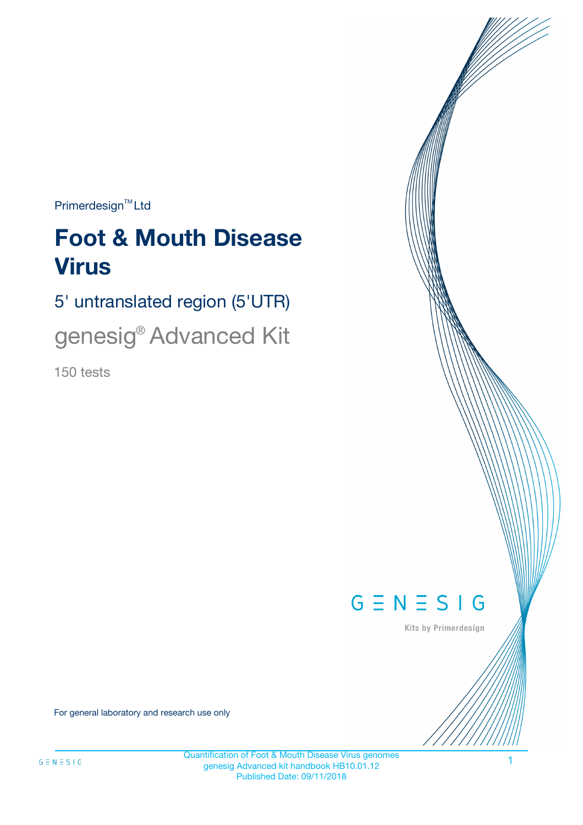$Primerdesign^{\text{TM}}Ltd$ 

# **Foot & Mouth Disease Virus**

5' untranslated region (5'UTR)

genesig® Advanced Kit

150 tests



Kits by Primerdesign

For general laboratory and research use only

Quantification of Foot & Mouth Disease Virus genomes genesig Advanced kit handbook HB10.01.12 Published Date: 09/11/2018

1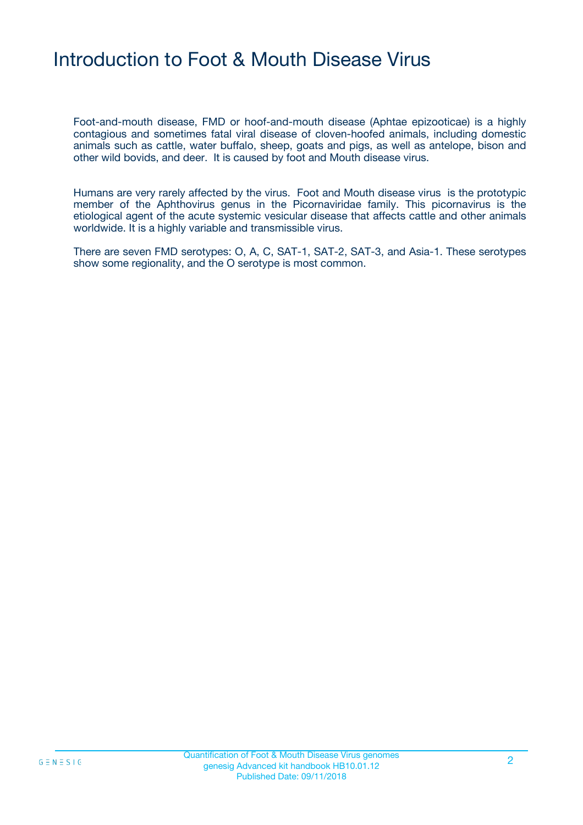### Introduction to Foot & Mouth Disease Virus

Foot-and-mouth disease, FMD or hoof-and-mouth disease (Aphtae epizooticae) is a highly contagious and sometimes fatal viral disease of cloven-hoofed animals, including domestic animals such as cattle, water buffalo, sheep, goats and pigs, as well as antelope, bison and other wild bovids, and deer. It is caused by foot and Mouth disease virus.

Humans are very rarely affected by the virus. Foot and Mouth disease virus is the prototypic member of the Aphthovirus genus in the Picornaviridae family. This picornavirus is the etiological agent of the acute systemic vesicular disease that affects cattle and other animals worldwide. It is a highly variable and transmissible virus.

There are seven FMD serotypes: O, A, C, SAT-1, SAT-2, SAT-3, and Asia-1. These serotypes show some regionality, and the O serotype is most common.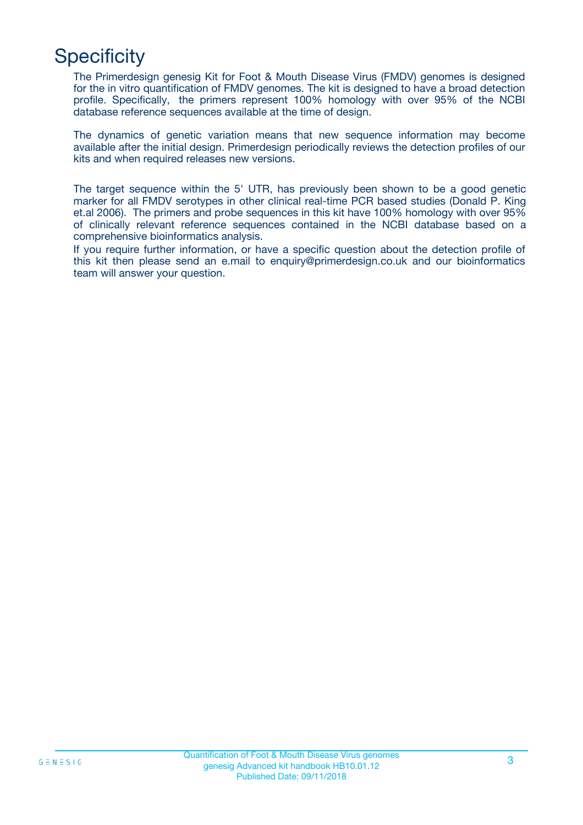## **Specificity**

The Primerdesign genesig Kit for Foot & Mouth Disease Virus (FMDV) genomes is designed for the in vitro quantification of FMDV genomes. The kit is designed to have a broad detection profile. Specifically, the primers represent 100% homology with over 95% of the NCBI database reference sequences available at the time of design.

The dynamics of genetic variation means that new sequence information may become available after the initial design. Primerdesign periodically reviews the detection profiles of our kits and when required releases new versions.

The target sequence within the 5' UTR, has previously been shown to be a good genetic marker for all FMDV serotypes in other clinical real-time PCR based studies (Donald P. King et.al 2006). The primers and probe sequences in this kit have 100% homology with over 95% of clinically relevant reference sequences contained in the NCBI database based on a comprehensive bioinformatics analysis.

If you require further information, or have a specific question about the detection profile of this kit then please send an e.mail to enquiry@primerdesign.co.uk and our bioinformatics team will answer your question.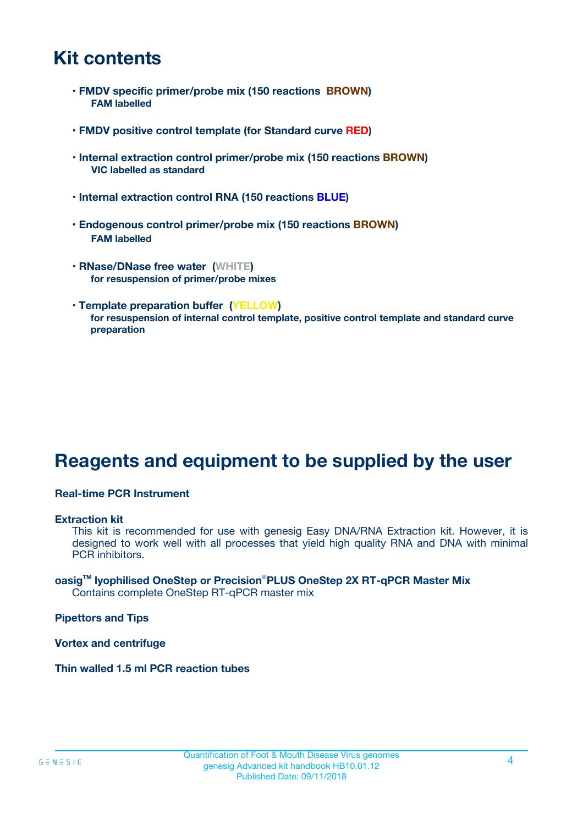### **Kit contents**

- **FMDV specific primer/probe mix (150 reactions BROWN) FAM labelled**
- **FMDV positive control template (for Standard curve RED)**
- **Internal extraction control primer/probe mix (150 reactions BROWN) VIC labelled as standard**
- **Internal extraction control RNA (150 reactions BLUE)**
- **Endogenous control primer/probe mix (150 reactions BROWN) FAM labelled**
- **RNase/DNase free water (WHITE) for resuspension of primer/probe mixes**
- **Template preparation buffer (YELLOW) for resuspension of internal control template, positive control template and standard curve preparation**

### **Reagents and equipment to be supplied by the user**

#### **Real-time PCR Instrument**

#### **Extraction kit**

This kit is recommended for use with genesig Easy DNA/RNA Extraction kit. However, it is designed to work well with all processes that yield high quality RNA and DNA with minimal PCR inhibitors.

#### **oasigTM lyophilised OneStep or Precision**®**PLUS OneStep 2X RT-qPCR Master Mix** Contains complete OneStep RT-qPCR master mix

**Pipettors and Tips**

**Vortex and centrifuge**

**Thin walled 1.5 ml PCR reaction tubes**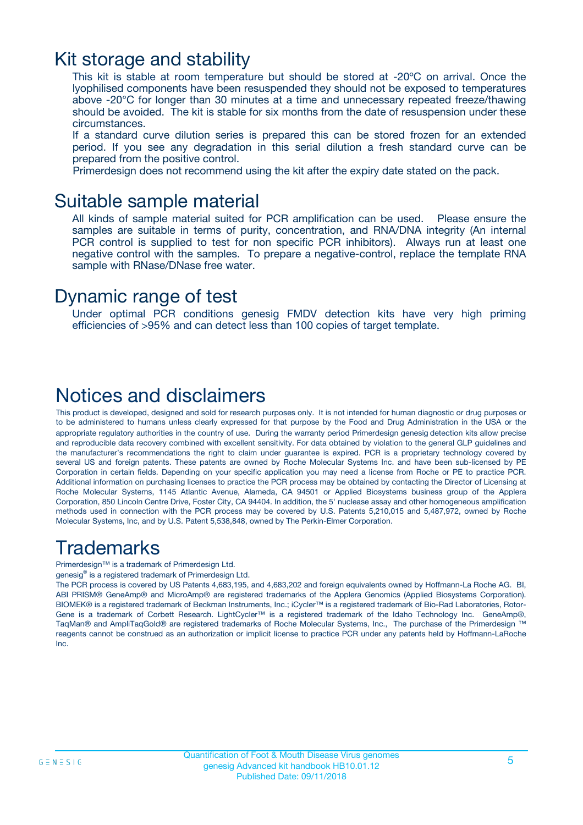### Kit storage and stability

This kit is stable at room temperature but should be stored at -20ºC on arrival. Once the lyophilised components have been resuspended they should not be exposed to temperatures above -20°C for longer than 30 minutes at a time and unnecessary repeated freeze/thawing should be avoided. The kit is stable for six months from the date of resuspension under these circumstances.

If a standard curve dilution series is prepared this can be stored frozen for an extended period. If you see any degradation in this serial dilution a fresh standard curve can be prepared from the positive control.

Primerdesign does not recommend using the kit after the expiry date stated on the pack.

### Suitable sample material

All kinds of sample material suited for PCR amplification can be used. Please ensure the samples are suitable in terms of purity, concentration, and RNA/DNA integrity (An internal PCR control is supplied to test for non specific PCR inhibitors). Always run at least one negative control with the samples. To prepare a negative-control, replace the template RNA sample with RNase/DNase free water.

### Dynamic range of test

Under optimal PCR conditions genesig FMDV detection kits have very high priming efficiencies of >95% and can detect less than 100 copies of target template.

### Notices and disclaimers

This product is developed, designed and sold for research purposes only. It is not intended for human diagnostic or drug purposes or to be administered to humans unless clearly expressed for that purpose by the Food and Drug Administration in the USA or the appropriate regulatory authorities in the country of use. During the warranty period Primerdesign genesig detection kits allow precise and reproducible data recovery combined with excellent sensitivity. For data obtained by violation to the general GLP guidelines and the manufacturer's recommendations the right to claim under guarantee is expired. PCR is a proprietary technology covered by several US and foreign patents. These patents are owned by Roche Molecular Systems Inc. and have been sub-licensed by PE Corporation in certain fields. Depending on your specific application you may need a license from Roche or PE to practice PCR. Additional information on purchasing licenses to practice the PCR process may be obtained by contacting the Director of Licensing at Roche Molecular Systems, 1145 Atlantic Avenue, Alameda, CA 94501 or Applied Biosystems business group of the Applera Corporation, 850 Lincoln Centre Drive, Foster City, CA 94404. In addition, the 5' nuclease assay and other homogeneous amplification methods used in connection with the PCR process may be covered by U.S. Patents 5,210,015 and 5,487,972, owned by Roche Molecular Systems, Inc, and by U.S. Patent 5,538,848, owned by The Perkin-Elmer Corporation.

### Trademarks

Primerdesign™ is a trademark of Primerdesign Ltd.

genesig® is a registered trademark of Primerdesign Ltd.

The PCR process is covered by US Patents 4,683,195, and 4,683,202 and foreign equivalents owned by Hoffmann-La Roche AG. BI, ABI PRISM® GeneAmp® and MicroAmp® are registered trademarks of the Applera Genomics (Applied Biosystems Corporation). BIOMEK® is a registered trademark of Beckman Instruments, Inc.; iCycler™ is a registered trademark of Bio-Rad Laboratories, Rotor-Gene is a trademark of Corbett Research. LightCycler™ is a registered trademark of the Idaho Technology Inc. GeneAmp®, TaqMan® and AmpliTaqGold® are registered trademarks of Roche Molecular Systems, Inc., The purchase of the Primerdesign ™ reagents cannot be construed as an authorization or implicit license to practice PCR under any patents held by Hoffmann-LaRoche Inc.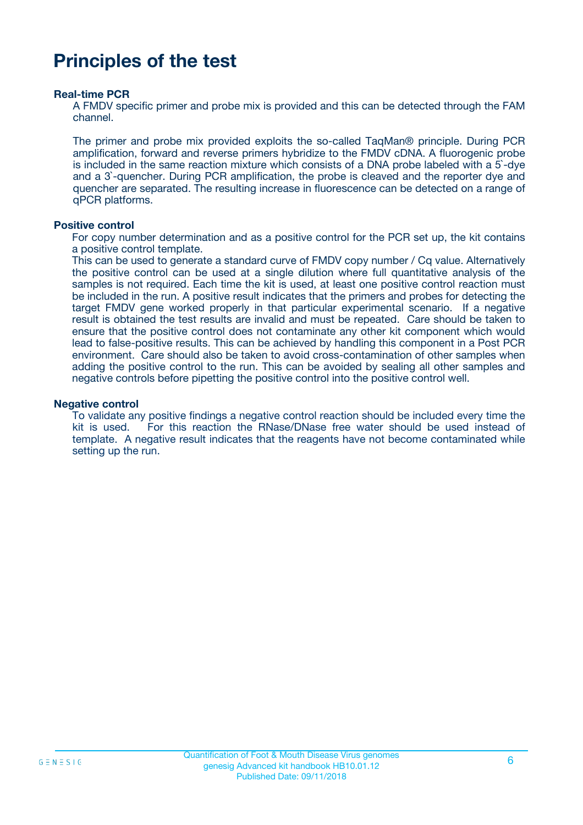### **Principles of the test**

#### **Real-time PCR**

A FMDV specific primer and probe mix is provided and this can be detected through the FAM channel.

The primer and probe mix provided exploits the so-called TaqMan® principle. During PCR amplification, forward and reverse primers hybridize to the FMDV cDNA. A fluorogenic probe is included in the same reaction mixture which consists of a DNA probe labeled with a 5`-dye and a 3`-quencher. During PCR amplification, the probe is cleaved and the reporter dye and quencher are separated. The resulting increase in fluorescence can be detected on a range of qPCR platforms.

#### **Positive control**

For copy number determination and as a positive control for the PCR set up, the kit contains a positive control template.

This can be used to generate a standard curve of FMDV copy number / Cq value. Alternatively the positive control can be used at a single dilution where full quantitative analysis of the samples is not required. Each time the kit is used, at least one positive control reaction must be included in the run. A positive result indicates that the primers and probes for detecting the target FMDV gene worked properly in that particular experimental scenario. If a negative result is obtained the test results are invalid and must be repeated. Care should be taken to ensure that the positive control does not contaminate any other kit component which would lead to false-positive results. This can be achieved by handling this component in a Post PCR environment. Care should also be taken to avoid cross-contamination of other samples when adding the positive control to the run. This can be avoided by sealing all other samples and negative controls before pipetting the positive control into the positive control well.

#### **Negative control**

To validate any positive findings a negative control reaction should be included every time the kit is used. For this reaction the RNase/DNase free water should be used instead of template. A negative result indicates that the reagents have not become contaminated while setting up the run.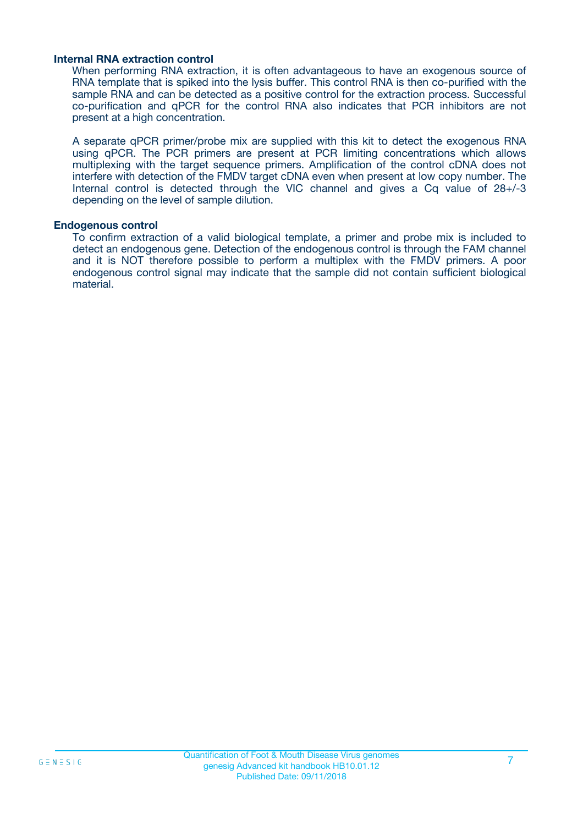#### **Internal RNA extraction control**

When performing RNA extraction, it is often advantageous to have an exogenous source of RNA template that is spiked into the lysis buffer. This control RNA is then co-purified with the sample RNA and can be detected as a positive control for the extraction process. Successful co-purification and qPCR for the control RNA also indicates that PCR inhibitors are not present at a high concentration.

A separate qPCR primer/probe mix are supplied with this kit to detect the exogenous RNA using qPCR. The PCR primers are present at PCR limiting concentrations which allows multiplexing with the target sequence primers. Amplification of the control cDNA does not interfere with detection of the FMDV target cDNA even when present at low copy number. The Internal control is detected through the VIC channel and gives a Cq value of 28+/-3 depending on the level of sample dilution.

#### **Endogenous control**

To confirm extraction of a valid biological template, a primer and probe mix is included to detect an endogenous gene. Detection of the endogenous control is through the FAM channel and it is NOT therefore possible to perform a multiplex with the FMDV primers. A poor endogenous control signal may indicate that the sample did not contain sufficient biological material.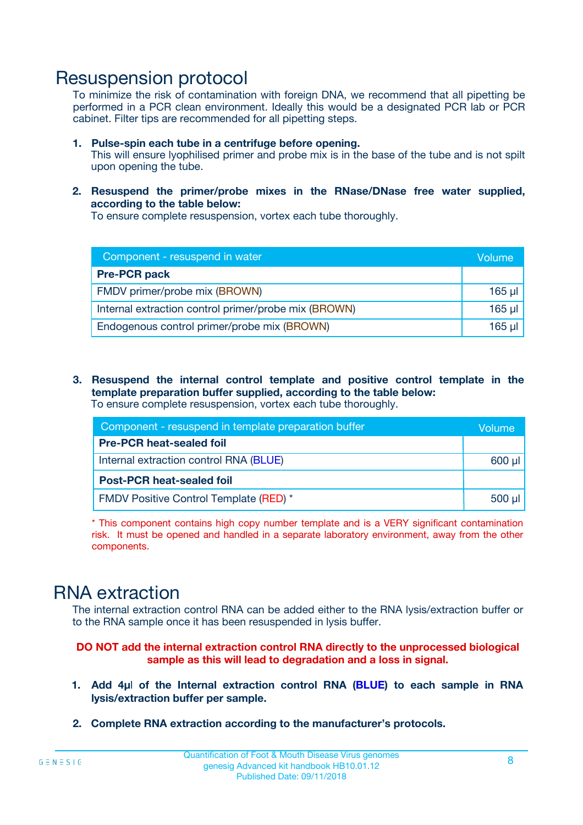### Resuspension protocol

To minimize the risk of contamination with foreign DNA, we recommend that all pipetting be performed in a PCR clean environment. Ideally this would be a designated PCR lab or PCR cabinet. Filter tips are recommended for all pipetting steps.

- **1. Pulse-spin each tube in a centrifuge before opening.** This will ensure lyophilised primer and probe mix is in the base of the tube and is not spilt upon opening the tube.
- **2. Resuspend the primer/probe mixes in the RNase/DNase free water supplied, according to the table below:**

To ensure complete resuspension, vortex each tube thoroughly.

| Component - resuspend in water                       |          |  |
|------------------------------------------------------|----------|--|
| <b>Pre-PCR pack</b>                                  |          |  |
| FMDV primer/probe mix (BROWN)                        | $165$ µl |  |
| Internal extraction control primer/probe mix (BROWN) | $165$ µl |  |
| Endogenous control primer/probe mix (BROWN)          | 165 µl   |  |

**3. Resuspend the internal control template and positive control template in the template preparation buffer supplied, according to the table below:** To ensure complete resuspension, vortex each tube thoroughly.

| Component - resuspend in template preparation buffer |             |  |  |
|------------------------------------------------------|-------------|--|--|
| <b>Pre-PCR heat-sealed foil</b>                      |             |  |  |
| Internal extraction control RNA (BLUE)               |             |  |  |
| <b>Post-PCR heat-sealed foil</b>                     |             |  |  |
| <b>FMDV Positive Control Template (RED) *</b>        | $500$ $\mu$ |  |  |

\* This component contains high copy number template and is a VERY significant contamination risk. It must be opened and handled in a separate laboratory environment, away from the other components.

### RNA extraction

The internal extraction control RNA can be added either to the RNA lysis/extraction buffer or to the RNA sample once it has been resuspended in lysis buffer.

**DO NOT add the internal extraction control RNA directly to the unprocessed biological sample as this will lead to degradation and a loss in signal.**

- **1. Add 4µ**l **of the Internal extraction control RNA (BLUE) to each sample in RNA lysis/extraction buffer per sample.**
- **2. Complete RNA extraction according to the manufacturer's protocols.**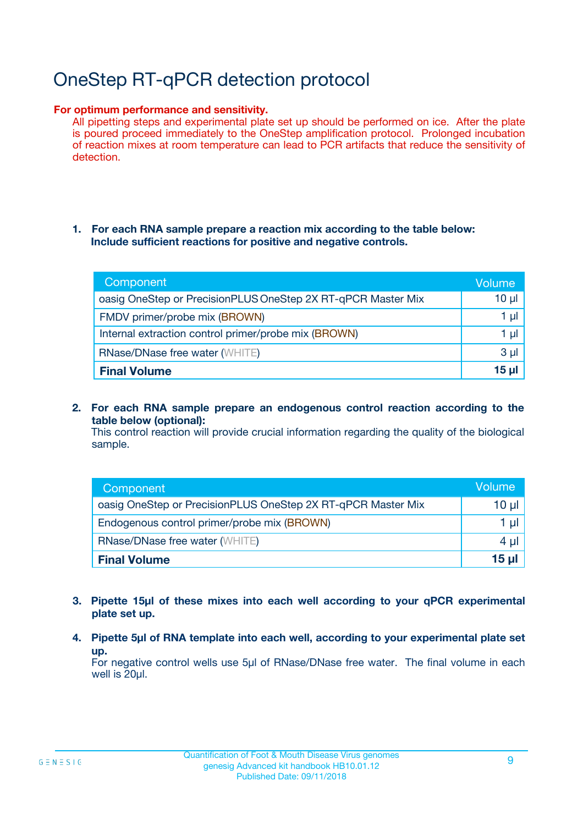# OneStep RT-qPCR detection protocol

#### **For optimum performance and sensitivity.**

All pipetting steps and experimental plate set up should be performed on ice. After the plate is poured proceed immediately to the OneStep amplification protocol. Prolonged incubation of reaction mixes at room temperature can lead to PCR artifacts that reduce the sensitivity of detection.

#### **1. For each RNA sample prepare a reaction mix according to the table below: Include sufficient reactions for positive and negative controls.**

| Component                                                    | <b>Volume</b> |
|--------------------------------------------------------------|---------------|
| oasig OneStep or PrecisionPLUS OneStep 2X RT-qPCR Master Mix | $10 \mu$      |
| FMDV primer/probe mix (BROWN)                                | 1 µI          |
| Internal extraction control primer/probe mix (BROWN)         | 1 µI          |
| <b>RNase/DNase free water (WHITE)</b>                        | $3 \mu$       |
| <b>Final Volume</b>                                          | 15 µl         |

**2. For each RNA sample prepare an endogenous control reaction according to the table below (optional):**

This control reaction will provide crucial information regarding the quality of the biological sample.

| Component                                                    | Volume   |
|--------------------------------------------------------------|----------|
| oasig OneStep or PrecisionPLUS OneStep 2X RT-qPCR Master Mix | 10 $\mu$ |
| Endogenous control primer/probe mix (BROWN)                  | 1 ul     |
| <b>RNase/DNase free water (WHITE)</b>                        | $4 \mu$  |
| <b>Final Volume</b>                                          | 15 µl    |

- **3. Pipette 15µl of these mixes into each well according to your qPCR experimental plate set up.**
- **4. Pipette 5µl of RNA template into each well, according to your experimental plate set up.**

For negative control wells use 5µl of RNase/DNase free water. The final volume in each well is 20µl.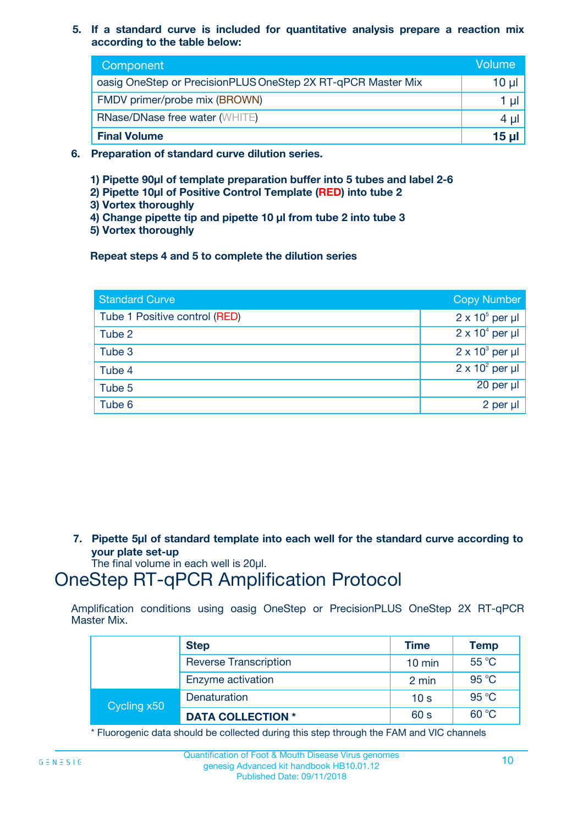**5. If a standard curve is included for quantitative analysis prepare a reaction mix according to the table below:**

| Component                                                    | Volume       |
|--------------------------------------------------------------|--------------|
| oasig OneStep or PrecisionPLUS OneStep 2X RT-qPCR Master Mix | $10 \mu$     |
| FMDV primer/probe mix (BROWN)                                |              |
| <b>RNase/DNase free water (WHITE)</b>                        | 4 µ          |
| <b>Final Volume</b>                                          | <u>15 µl</u> |

- **6. Preparation of standard curve dilution series.**
	- **1) Pipette 90µl of template preparation buffer into 5 tubes and label 2-6**
	- **2) Pipette 10µl of Positive Control Template (RED) into tube 2**
	- **3) Vortex thoroughly**
	- **4) Change pipette tip and pipette 10 µl from tube 2 into tube 3**
	- **5) Vortex thoroughly**

**Repeat steps 4 and 5 to complete the dilution series**

| <b>Standard Curve</b>         | <b>Copy Number</b>     |
|-------------------------------|------------------------|
| Tube 1 Positive control (RED) | $2 \times 10^5$ per µl |
| Tube 2                        | $2 \times 10^4$ per µl |
| Tube 3                        | $2 \times 10^3$ per µl |
| Tube 4                        | $2 \times 10^2$ per µl |
| Tube 5                        | 20 per µl              |
| Tube 6                        | $2$ per $\mu$          |

**7. Pipette 5µl of standard template into each well for the standard curve according to your plate set-up**

The final volume in each well is 20µl.

### OneStep RT-qPCR Amplification Protocol

Amplification conditions using oasig OneStep or PrecisionPLUS OneStep 2X RT-qPCR Master Mix.

|             | <b>Step</b>                  | <b>Time</b>      | <b>Temp</b> |
|-------------|------------------------------|------------------|-------------|
|             | <b>Reverse Transcription</b> | $10 \text{ min}$ | 55 °C       |
|             | Enzyme activation            | 2 min            | 95 °C       |
| Cycling x50 | Denaturation                 | 10 <sub>s</sub>  | 95 °C       |
|             | <b>DATA COLLECTION *</b>     | 60 s             | 60 °C       |

\* Fluorogenic data should be collected during this step through the FAM and VIC channels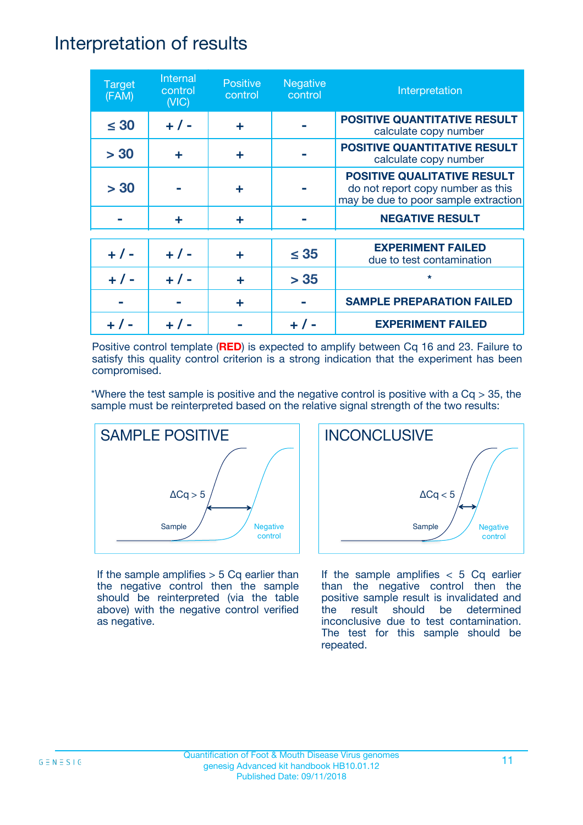### Interpretation of results

| <b>Target</b><br>(FAM) | Internal<br>control<br>(NIC) | <b>Positive</b><br>control | <b>Negative</b><br>control | Interpretation                                                                                                  |
|------------------------|------------------------------|----------------------------|----------------------------|-----------------------------------------------------------------------------------------------------------------|
| $\leq 30$              | $+ 1 -$                      | ÷                          |                            | <b>POSITIVE QUANTITATIVE RESULT</b><br>calculate copy number                                                    |
| > 30                   | ٠                            | ÷                          |                            | <b>POSITIVE QUANTITATIVE RESULT</b><br>calculate copy number                                                    |
| > 30                   |                              | ÷                          |                            | <b>POSITIVE QUALITATIVE RESULT</b><br>do not report copy number as this<br>may be due to poor sample extraction |
|                        | ÷                            | ÷                          |                            | <b>NEGATIVE RESULT</b>                                                                                          |
| $+ 1 -$                | $+ 1 -$                      | ÷                          | $\leq$ 35                  | <b>EXPERIMENT FAILED</b><br>due to test contamination                                                           |
| $+ 1 -$                | $+ 1 -$                      | ÷                          | > 35                       | $\star$                                                                                                         |
|                        |                              | ÷                          |                            | <b>SAMPLE PREPARATION FAILED</b>                                                                                |
|                        |                              |                            |                            | <b>EXPERIMENT FAILED</b>                                                                                        |

Positive control template (**RED**) is expected to amplify between Cq 16 and 23. Failure to satisfy this quality control criterion is a strong indication that the experiment has been compromised.

\*Where the test sample is positive and the negative control is positive with a  $Cq > 35$ , the sample must be reinterpreted based on the relative signal strength of the two results:



If the sample amplifies  $> 5$  Cq earlier than the negative control then the sample should be reinterpreted (via the table above) with the negative control verified as negative.



If the sample amplifies  $< 5$  Cq earlier than the negative control then the positive sample result is invalidated and the result should be determined inconclusive due to test contamination. The test for this sample should be repeated.